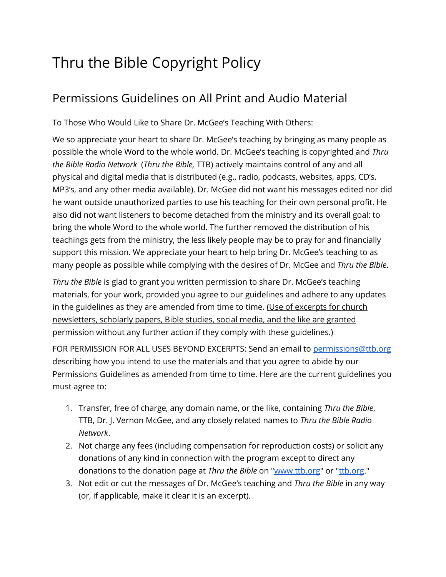# Thru the Bible Copyright Policy

### Permissions Guidelines on All Print and Audio Material

To Those Who Would Like to Share Dr. McGee's Teaching With Others:

We so appreciate your heart to share Dr. McGee's teaching by bringing as many people as possible the whole Word to the whole world. Dr. McGee's teaching is copyrighted and *Thru the Bible Radio Network* (*Thru the Bible,* TTB) actively maintains control of any and all physical and digital media that is distributed (e.g., radio, podcasts, websites, apps, CD's, MP3's, and any other media available). Dr. McGee did not want his messages edited nor did he want outside unauthorized parties to use his teaching for their own personal profit. He also did not want listeners to become detached from the ministry and its overall goal: to bring the whole Word to the whole world. The further removed the distribution of his teachings gets from the ministry, the less likely people may be to pray for and financially support this mission. We appreciate your heart to help bring Dr. McGee's teaching to as many people as possible while complying with the desires of Dr. McGee and *Thru the Bible*.

*Thru the Bible* is glad to grant you written permission to share Dr. McGee's teaching materials, for your work, provided you agree to our guidelines and adhere to any updates in the guidelines as they are amended from time to time. (Use of excerpts for church newsletters, scholarly papers, Bible studies, social media, and the like are granted permission without any further action if they comply with these guidelines.)

FOR PERMISSION FOR ALL USES BEYOND EXCERPTS: Send an email to [permissions@ttb.org](mailto:permissions@ttb.org) describing how you intend to use the materials and that you agree to abide by our Permissions Guidelines as amended from time to time. Here are the current guidelines you must agree to:

- 1. Transfer, free of charge, any domain name, or the like, containing *Thru the Bible*, TTB, Dr. J. Vernon McGee, and any closely related names to *Thru the Bible Radio Network*.
- 2. Not charge any fees (including compensation for reproduction costs) or solicit any donations of any kind in connection with the program except to direct any donations to the donation page at *Thru the Bible* on ["www.ttb.org"](http://www.ttb.org/) or ["ttb.org.](http://ttb.org/)"
- 3. Not edit or cut the messages of Dr. McGee's teaching and *Thru the Bible* in any way (or, if applicable, make it clear it is an excerpt).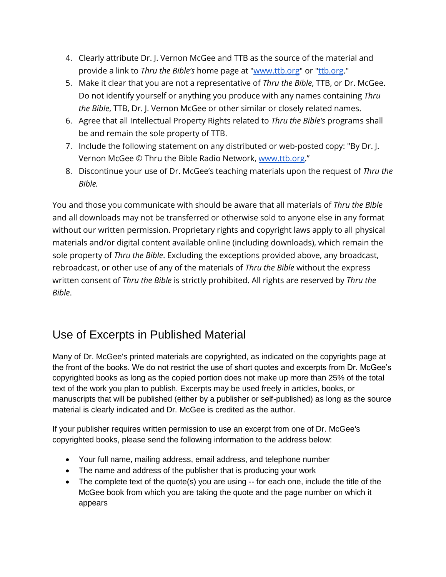- 4. Clearly attribute Dr. J. Vernon McGee and TTB as the source of the material and provide a link to *Thru the Bible's* home page at ["www.ttb.org"](http://www.ttb.org/) or ["ttb.org.](http://ttb.org/)"
- 5. Make it clear that you are not a representative of *Thru the Bible*, TTB, or Dr. McGee. Do not identify yourself or anything you produce with any names containing *Thru the Bible*, TTB, Dr. J. Vernon McGee or other similar or closely related names.
- 6. Agree that all Intellectual Property Rights related to *Thru the Bible's* programs shall be and remain the sole property of TTB.
- 7. Include the following statement on any distributed or web-posted copy: "By Dr. J. Vernon McGee © Thru the Bible Radio Network[,](http://www.ttb.org/) [www.ttb.org](http://www.ttb.org/)."
- 8. Discontinue your use of Dr. McGee's teaching materials upon the request of *Thru the Bible.*

You and those you communicate with should be aware that all materials of *Thru the Bible*  and all downloads may not be transferred or otherwise sold to anyone else in any format without our written permission. Proprietary rights and copyright laws apply to all physical materials and/or digital content available online (including downloads), which remain the sole property of *Thru the Bible*. Excluding the exceptions provided above, any broadcast, rebroadcast, or other use of any of the materials of *Thru the Bible* without the express written consent of *Thru the Bible* is strictly prohibited. All rights are reserved by *Thru the Bible*.

## Use of Excerpts in Published Material

Many of Dr. McGee's printed materials are copyrighted, as indicated on the copyrights page at the front of the books. We do not restrict the use of short quotes and excerpts from Dr. McGee's copyrighted books as long as the copied portion does not make up more than 25% of the total text of the work you plan to publish. Excerpts may be used freely in articles, books, or manuscripts that will be published (either by a publisher or self-published) as long as the source material is clearly indicated and Dr. McGee is credited as the author.

If your publisher requires written permission to use an excerpt from one of Dr. McGee's copyrighted books, please send the following information to the address below:

- Your full name, mailing address, email address, and telephone number
- The name and address of the publisher that is producing your work
- The complete text of the quote(s) you are using -- for each one, include the title of the McGee book from which you are taking the quote and the page number on which it appears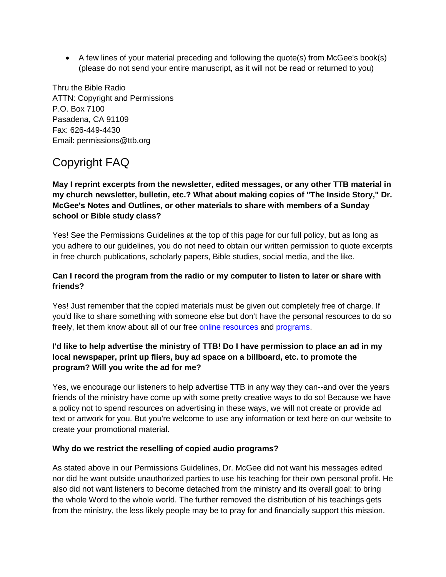• A few lines of your material preceding and following the quote(s) from McGee's book(s) (please do not send your entire manuscript, as it will not be read or returned to you)

Thru the Bible Radio ATTN: Copyright and Permissions P.O. Box 7100 Pasadena, CA 91109 Fax: 626-449-4430 Email: permissions@ttb.org

# Copyright FAQ

**May I reprint excerpts from the newsletter, edited messages, or any other TTB material in my church newsletter, bulletin, etc.? What about making copies of "The Inside Story," Dr. McGee's Notes and Outlines, or other materials to share with members of a Sunday school or Bible study class?**

Yes! See the Permissions Guidelines at the top of this page for our full policy, but as long as you adhere to our guidelines, you do not need to obtain our written permission to quote excerpts in free church publications, scholarly papers, Bible studies, social media, and the like.

### **Can I record the program from the radio or my computer to listen to later or share with friends?**

Yes! Just remember that the copied materials must be given out completely free of charge. If you'd like to share something with someone else but don't have the personal resources to do so freely, let them know about all of our free [online resources](http://www.ttb.org/resources) and [programs.](https://www.ttb.org/programs/the-5-year-study)

### **I'd like to help advertise the ministry of TTB! Do I have permission to place an ad in my local newspaper, print up fliers, buy ad space on a billboard, etc. to promote the program? Will you write the ad for me?**

Yes, we encourage our listeners to help advertise TTB in any way they can--and over the years friends of the ministry have come up with some pretty creative ways to do so! Because we have a policy not to spend resources on advertising in these ways, we will not create or provide ad text or artwork for you. But you're welcome to use any information or text here on our website to create your promotional material.

#### **Why do we restrict the reselling of copied audio programs?**

As stated above in our Permissions Guidelines, Dr. McGee did not want his messages edited nor did he want outside unauthorized parties to use his teaching for their own personal profit. He also did not want listeners to become detached from the ministry and its overall goal: to bring the whole Word to the whole world. The further removed the distribution of his teachings gets from the ministry, the less likely people may be to pray for and financially support this mission.